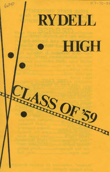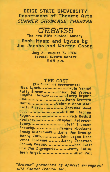# **BOISE STATE UNIVERSITY** Department of Theatre Arts **SUMMER SHOWCASE THEATRE**

# GREASE

The New 50's Musical Comedy **Book Music and Lyrics by** Jim Jacobs and Warren Casey

> July 30-August 3, 1986 **Special Events Center** 8:15 p.m.

# **THE CAST**

| [In urder of Appearance]         |
|----------------------------------|
| Miss LynchPaula Yarnot           |
| Patty Simcox Shawn Del Ysursa    |
| Eugene FlorczykGerry Bryant      |
| Jan  Dana Griffith               |
| MartyValerie Anne Aker           |
| Betty RizzoTheresa Wood          |
|                                  |
|                                  |
| RogerRich Rayhill                |
| KenickeStephen Peterson          |
| SonnyJeff Thomson                |
| Frenchy Tamara Woodward          |
| Sandy DumbrowskiLara Von Krosigk |
| Danny ZukoJohn Logan Wood        |
| Vince Fontaine Larry Jeppesen    |
|                                  |
| Johnny CasinoNed Evett           |
| Cha Cha DigregorioPatty Bailey   |
| Teen AngelAlec Call              |
|                                  |

"Grease" presented by special arrangment with Samuel French, Inc.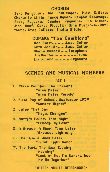# **CHORUS**

Earl Bergquist, Ted Challenger, Mike Dillard, Charlotte Little, Nancy Nyman, Denyse Rasavage, Robby Rayborn, Candee Reynolds, Tim Wilson, John Roof, Carol Piccotti, Gina Musgrove, Dani Young, Greg Callozzo, Sheila Stickel

> COMBO: "The Gamblers" Ned Evett .......... Lead Guitar Seth Jaquith ...... Bass Guitar Shane Russell...... Saxaphone Jim Borton.................Drums Liz Noland ............. Ke!;!board

## SCENES AND MUSICAL NUMBERS

#### ACT I

1. Class Reunion, The Present "Alma Mater" "Alma Mater Parody" 2. First Day of School, September 1959 "Summer Nights" 3. Later That Day "Magic Changes" 4. Marty's House, That Night "Freddy, My Love" 5. A Street, A Short Time Later "Greased Lightning" 6. The Gym, A Week Later "Rydell Fight Song" 7. The ParK, The Next Evening "Mooning" "Look At Me, I'm Sandra Dee" "We Go Together"

#### FIFTEEN MINUTE INTERMISSION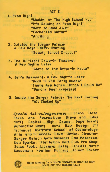## ACT II

1. Prom Night

"Shakin' At The High School Hop" "It's Raining on Prom Night" "Born to Hand Jive" "Enchanted Guitar" "Anything"

2. Outside the Burger Palace, A Few Days Later, Evening "Beauty School Dropout"

3. The Twi-Light Drive-In Theatre, A Few Nights Later "Alone At the Drive-In Movie"

4. Jan's Basement. A Few Night's Later "Rock 'N Roll Party Queen" "There Are Worse Things I Could Do" "Sandra Dee" (Reprise)

5. Inside the Burger Palace, The Next Evening "All Choked Up"

Special Acknowledgements: Idaho State Parks and Recreation; Steve and Rikki Neff; Capital High Drama Department; Automotive West; Aura Hair Design, ITT Technical Institute School of Cosmetology, Arts and Sciences, Dave Jenks, Director; Barger Matson Auto Salvage; Dan Peterson; Ken Sparks; Plantation Golf Club Pro Shop; Boise Public Library; Betty Streiff; Marie Sauseman; Heather Murray; Alison Barber



Major funding for SUMMER SHOWCASE THEATRE from **BOISE SUNRISE ROTARY CLUB**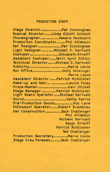### PRODUCTION . STAFF

Stage Director., ............. Pat Cunningham Musical Director ...... Linda Elliott Schmidt Choreographer ............... Tamara Woodward Production Coordinator......Phil Atlakson Set Designer .................. Pat Cunningham Light Designer .......... Michael S. Hartwell Costumer........................Elizabeth Streiff Assistant Costumer ...... Terri April Dillion Technical Director ....... Michael S. Hartwell Publicit!;J •••••••••••••••• ............. Maria Lewis Box Office......................Holly Holsinger Maria Lewis Assistant Director ...... Patrick McAllister Make-up and Hair ... .............Laurie Foley Props Master ••••••••••••••••••••••• Karl SticKel Stage Manager ....... .... Patrick McAllister Light Board Operator ..... Michael Hartwell Sound ................................ Kath~ Farris Pre-Production Sound ..............Rob Lane Followspot Operator.....Robert Bradshaw Set Construction...........Jack Challenger Phil Atlakson Michael Hartwell Seppi Streiff Patrick McAllister Ted Challenger Production Secretary ............ Maria Lewis Stage Crew Foreman.......Jack Challenger